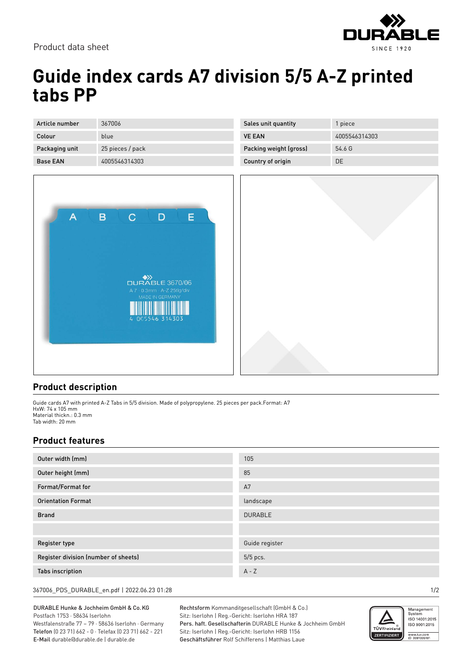

Product data sheet

## **Guide index cards A7 division 5/5 A-Z printed tabs PP**

| Article number  | 367006           |
|-----------------|------------------|
| Colour          | blue             |
| Packaging unit  | 25 pieces / pack |
| <b>Base FAN</b> | 4005546314303    |



| Sales unit quantity    | 1 piece       |
|------------------------|---------------|
| <b>VE FAN</b>          | 4005546314303 |
| Packing weight (gross) | 54.6 G        |
| Country of origin      | DE.           |



## **Product description**

Guide cards A7 with printed A-Z Tabs in 5/5 division. Made of polypropylene. 25 pieces per pack.Format: A7 HxW: 74 x 105 mm Material thickn.: 0.3 mm Tab width: 20 mm

## **Product features**

| Outer width (mm)                     | 105            |
|--------------------------------------|----------------|
| Outer height (mm)                    | 85             |
| Format/Format for                    | A7             |
| <b>Orientation Format</b>            | landscape      |
| <b>Brand</b>                         | <b>DURABLE</b> |
|                                      |                |
| <b>Register type</b>                 | Guide register |
| Register division (number of sheets) | 5/5 pcs.       |
| <b>Tabs inscription</b>              | $A - Z$        |

367006\_PDS\_DURABLE\_en.pdf | 2022.06.23 01:28 1/2

DURABLE Hunke & Jochheim GmbH & Co.KG Postfach 1753 · 58634 Iserlohn Westfalenstraße 77 – 79 · 58636 Iserlohn · Germany Telefon (0 23 71) 662 - 0 · Telefax (0 23 71) 662 - 221 E-Mail durable@durable.de | durable.de

Rechtsform Kommanditgesellschaft (GmbH & Co.) Sitz: Iserlohn | Reg.-Gericht: Iserlohn HRA 187 Pers. haft. Gesellschafterin DURABLE Hunke & Jochheim GmbH Sitz: Iserlohn | Reg.-Gericht: Iserlohn HRB 1156 Geschäftsführer Rolf Schifferens | Matthias Laue